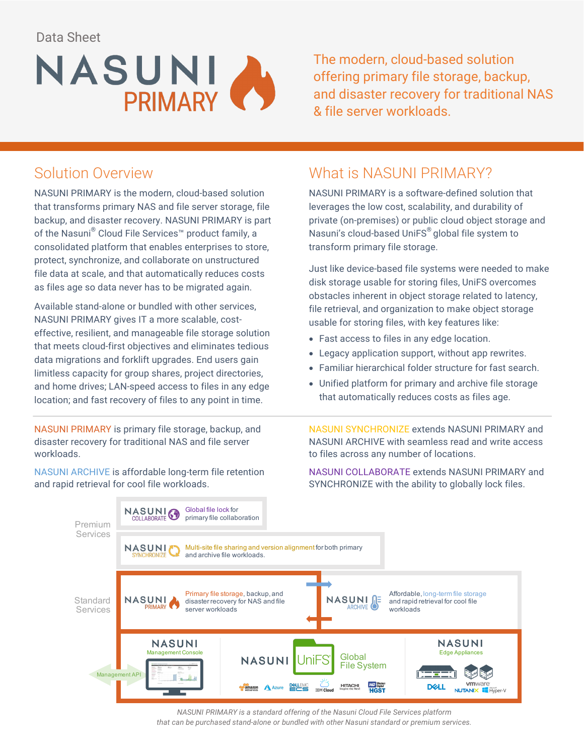Data Sheet



The modern, cloud-based solution offering primary file storage, backup, and disaster recovery for traditional NAS & file server workloads.

## Solution Overview

NASUNI PRIMARY is the modern, cloud-based solution that transforms primary NAS and file server storage, file backup, and disaster recovery. NASUNI PRIMARY is part of the Nasuni® Cloud File Services™ product family, a consolidated platform that enables enterprises to store, protect, synchronize, and collaborate on unstructured file data at scale, and that automatically reduces costs as files age so data never has to be migrated again.

Available stand-alone or bundled with other services, NASUNI PRIMARY gives IT a more scalable, costeffective, resilient, and manageable file storage solution that meets cloud-first objectives and eliminates tedious data migrations and forklift upgrades. End users gain limitless capacity for group shares, project directories, and home drives; LAN-speed access to files in any edge location; and fast recovery of files to any point in time.

NASUNI PRIMARY is primary file storage, backup, and disaster recovery for traditional NAS and file server workloads.

NASUNI ARCHIVE is affordable long-term file retention and rapid retrieval for cool file workloads.

#### What is NASUNI PRIMARY?

NASUNI PRIMARY is a software-defined solution that leverages the low cost, scalability, and durability of private (on-premises) or public cloud object storage and Nasuni's cloud-based UniFS® global file system to transform primary file storage.

Just like device-based file systems were needed to make disk storage usable for storing files, UniFS overcomes obstacles inherent in object storage related to latency, file retrieval, and organization to make object storage usable for storing files, with key features like:

- Fast access to files in any edge location.
- Legacy application support, without app rewrites.
- Familiar hierarchical folder structure for fast search.
- Unified platform for primary and archive file storage that automatically reduces costs as files age.

NASUNI SYNCHRONIZE extends NASUNI PRIMARY and NASUNI ARCHIVE with seamless read and write access to files across any number of locations.

NASUNI COLLABORATE extends NASUNI PRIMARY and SYNCHRONIZE with the ability to globally lock files.



*NASUNI PRIMARY is a standard offering of the Nasuni Cloud File Services platform that can be purchased stand-alone or bundled with other Nasuni standard or premium services.*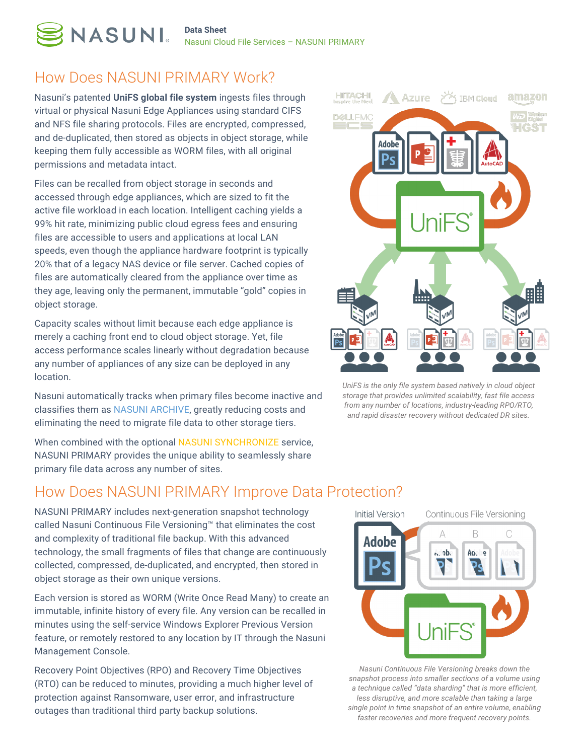

Nasuni Cloud File Services – NASUNI PRIMARY

#### How Does NASUNI PRIMARY Work?

**NASUNI.** 

Nasuni's patented **UniFS global file system** ingests files through virtual or physical Nasuni Edge Appliances using standard CIFS and NFS file sharing protocols. Files are encrypted, compressed, and de-duplicated, then stored as objects in object storage, while keeping them fully accessible as WORM files, with all original permissions and metadata intact.

Files can be recalled from object storage in seconds and accessed through edge appliances, which are sized to fit the active file workload in each location. Intelligent caching yields a 99% hit rate, minimizing public cloud egress fees and ensuring files are accessible to users and applications at local LAN speeds, even though the appliance hardware footprint is typically 20% that of a legacy NAS device or file server. Cached copies of files are automatically cleared from the appliance over time as they age, leaving only the permanent, immutable "gold" copies in object storage.

Capacity scales without limit because each edge appliance is merely a caching front end to cloud object storage. Yet, file access performance scales linearly without degradation because any number of appliances of any size can be deployed in any location.

Nasuni automatically tracks when primary files become inactive and classifies them as NASUNI ARCHIVE, greatly reducing costs and eliminating the need to migrate file data to other storage tiers.

When combined with the optional NASUNI SYNCHRONIZE service, NASUNI PRIMARY provides the unique ability to seamlessly share primary file data across any number of sites.

#### How Does NASUNI PRIMARY Improve Data Protection?

NASUNI PRIMARY includes next-generation snapshot technology called Nasuni Continuous File Versioning™ that eliminates the cost and complexity of traditional file backup. With this advanced technology, the small fragments of files that change are continuously collected, compressed, de-duplicated, and encrypted, then stored in object storage as their own unique versions.

Each version is stored as WORM (Write Once Read Many) to create an immutable, infinite history of every file. Any version can be recalled in minutes using the self-service Windows Explorer Previous Version feature, or remotely restored to any location by IT through the Nasuni Management Console.

Recovery Point Objectives (RPO) and Recovery Time Objectives (RTO) can be reduced to minutes, providing a much higher level of protection against Ransomware, user error, and infrastructure outages than traditional third party backup solutions.



*UniFS is the only file system based natively in cloud object storage that provides unlimited scalability, fast file access from any number of locations, industry-leading RPO/RTO, and rapid disaster recovery without dedicated DR sites.*



*Nasuni Continuous File Versioning breaks down the snapshot process into smaller sections of a volume using a technique called "data sharding" that is more efficient, less disruptive, and more scalable than taking a large single point in time snapshot of an entire volume, enabling faster recoveries and more frequent recovery points.*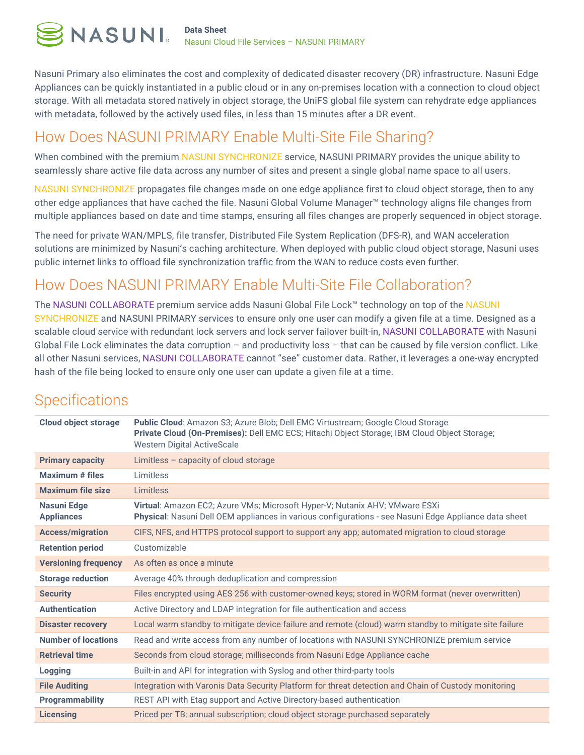Nasuni Primary also eliminates the cost and complexity of dedicated disaster recovery (DR) infrastructure. Nasuni Edge Appliances can be quickly instantiated in a public cloud or in any on-premises location with a connection to cloud object storage. With all metadata stored natively in object storage, the UniFS global file system can rehydrate edge appliances with metadata, followed by the actively used files, in less than 15 minutes after a DR event.

## How Does NASUNI PRIMARY Enable Multi-Site File Sharing?

When combined with the premium NASUNI SYNCHRONIZE service, NASUNI PRIMARY provides the unique ability to seamlessly share active file data across any number of sites and present a single global name space to all users.

NASUNI SYNCHRONIZE propagates file changes made on one edge appliance first to cloud object storage, then to any other edge appliances that have cached the file. Nasuni Global Volume Manager™ technology aligns file changes from multiple appliances based on date and time stamps, ensuring all files changes are properly sequenced in object storage.

The need for private WAN/MPLS, file transfer, Distributed File System Replication (DFS-R), and WAN acceleration solutions are minimized by Nasuni's caching architecture. When deployed with public cloud object storage, Nasuni uses public internet links to offload file synchronization traffic from the WAN to reduce costs even further.

## How Does NASUNI PRIMARY Enable Multi-Site File Collaboration?

The NASUNI COLLABORATE premium service adds Nasuni Global File Lock™ technology on top of the NASUNI SYNCHRONIZE and NASUNI PRIMARY services to ensure only one user can modify a given file at a time. Designed as a scalable cloud service with redundant lock servers and lock server failover built-in, NASUNI COLLABORATE with Nasuni Global File Lock eliminates the data corruption – and productivity loss – that can be caused by file version conflict. Like all other Nasuni services, NASUNI COLLABORATE cannot "see" customer data. Rather, it leverages a one-way encrypted hash of the file being locked to ensure only one user can update a given file at a time.

| <b>Cloud object storage</b>             | <b>Public Cloud:</b> Amazon S3; Azure Blob; Dell EMC Virtustream; Google Cloud Storage<br>Private Cloud (On-Premises): Dell EMC ECS; Hitachi Object Storage; IBM Cloud Object Storage;<br><b>Western Digital ActiveScale</b> |
|-----------------------------------------|------------------------------------------------------------------------------------------------------------------------------------------------------------------------------------------------------------------------------|
| <b>Primary capacity</b>                 | Limitless $-$ capacity of cloud storage                                                                                                                                                                                      |
| <b>Maximum</b> # files                  | <b>Limitless</b>                                                                                                                                                                                                             |
| <b>Maximum file size</b>                | Limitless                                                                                                                                                                                                                    |
| <b>Nasuni Edge</b><br><b>Appliances</b> | Virtual: Amazon EC2; Azure VMs; Microsoft Hyper-V; Nutanix AHV; VMware ESXi<br>Physical: Nasuni Dell OEM appliances in various configurations - see Nasuni Edge Appliance data sheet                                         |
| <b>Access/migration</b>                 | CIFS, NFS, and HTTPS protocol support to support any app; automated migration to cloud storage                                                                                                                               |
| <b>Retention period</b>                 | Customizable                                                                                                                                                                                                                 |
| <b>Versioning frequency</b>             | As often as once a minute                                                                                                                                                                                                    |
| <b>Storage reduction</b>                | Average 40% through deduplication and compression                                                                                                                                                                            |
| <b>Security</b>                         | Files encrypted using AES 256 with customer-owned keys; stored in WORM format (never overwritten)                                                                                                                            |
| <b>Authentication</b>                   | Active Directory and LDAP integration for file authentication and access                                                                                                                                                     |
| <b>Disaster recovery</b>                | Local warm standby to mitigate device failure and remote (cloud) warm standby to mitigate site failure                                                                                                                       |
| <b>Number of locations</b>              | Read and write access from any number of locations with NASUNI SYNCHRONIZE premium service                                                                                                                                   |
| <b>Retrieval time</b>                   | Seconds from cloud storage; milliseconds from Nasuni Edge Appliance cache                                                                                                                                                    |
| <b>Logging</b>                          | Built-in and API for integration with Syslog and other third-party tools                                                                                                                                                     |
| <b>File Auditing</b>                    | Integration with Varonis Data Security Platform for threat detection and Chain of Custody monitoring                                                                                                                         |
| <b>Programmability</b>                  | REST API with Etag support and Active Directory-based authentication                                                                                                                                                         |
| <b>Licensing</b>                        | Priced per TB; annual subscription; cloud object storage purchased separately                                                                                                                                                |

# **Specifications**